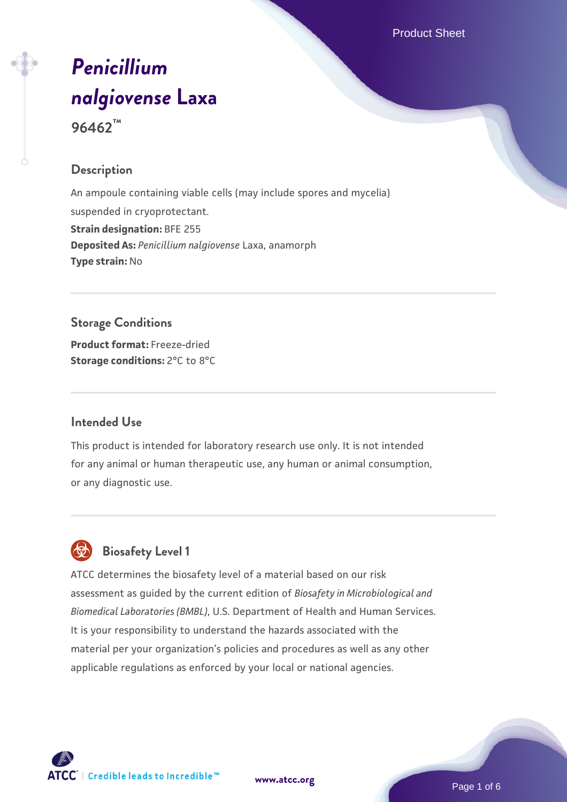Product Sheet

# *[Penicillium](https://www.atcc.org/products/96462) [nalgiovense](https://www.atcc.org/products/96462)* **[Laxa](https://www.atcc.org/products/96462)**

**96462™**

#### **Description**

An ampoule containing viable cells (may include spores and mycelia) suspended in cryoprotectant. **Strain designation:** BFE 255 **Deposited As:** *Penicillium nalgiovense* Laxa, anamorph **Type strain:** No

#### **Storage Conditions**

**Product format:** Freeze-dried **Storage conditions:** 2°C to 8°C

#### **Intended Use**

This product is intended for laboratory research use only. It is not intended for any animal or human therapeutic use, any human or animal consumption, or any diagnostic use.

### **Biosafety Level 1**

ATCC determines the biosafety level of a material based on our risk assessment as guided by the current edition of *Biosafety in Microbiological and Biomedical Laboratories (BMBL)*, U.S. Department of Health and Human Services. It is your responsibility to understand the hazards associated with the material per your organization's policies and procedures as well as any other applicable regulations as enforced by your local or national agencies.



**[www.atcc.org](http://www.atcc.org)**

Page 1 of 6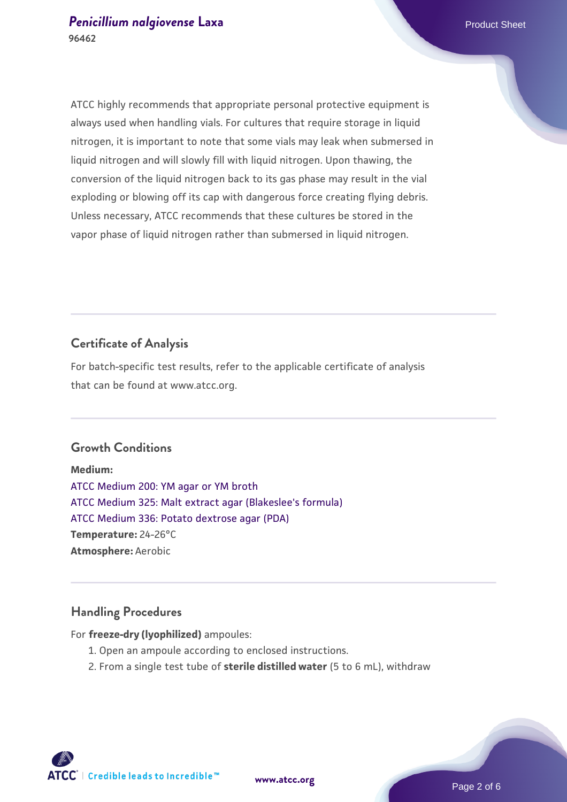ATCC highly recommends that appropriate personal protective equipment is always used when handling vials. For cultures that require storage in liquid nitrogen, it is important to note that some vials may leak when submersed in liquid nitrogen and will slowly fill with liquid nitrogen. Upon thawing, the conversion of the liquid nitrogen back to its gas phase may result in the vial exploding or blowing off its cap with dangerous force creating flying debris. Unless necessary, ATCC recommends that these cultures be stored in the vapor phase of liquid nitrogen rather than submersed in liquid nitrogen.

#### **Certificate of Analysis**

For batch-specific test results, refer to the applicable certificate of analysis that can be found at www.atcc.org.

#### **Growth Conditions**

**Medium:**  [ATCC Medium 200: YM agar or YM broth](https://www.atcc.org/-/media/product-assets/documents/microbial-media-formulations/2/0/0/atcc-medium-200.pdf?rev=ac40fd74dc13433a809367b0b9da30fc) [ATCC Medium 325: Malt extract agar \(Blakeslee's formula\)](https://www.atcc.org/-/media/product-assets/documents/microbial-media-formulations/3/2/5/atcc-medium-325.pdf?rev=146ec77015184a96912232dcb12386f9) [ATCC Medium 336: Potato dextrose agar \(PDA\)](https://www.atcc.org/-/media/product-assets/documents/microbial-media-formulations/3/3/6/atcc-medium-336.pdf?rev=d9160ad44d934cd8b65175461abbf3b9) **Temperature:** 24-26°C **Atmosphere:** Aerobic

#### **Handling Procedures**

For **freeze-dry (lyophilized)** ampoules:

- 1. Open an ampoule according to enclosed instructions.
- 2. From a single test tube of **sterile distilled water** (5 to 6 mL), withdraw

**ATCC** | Credible leads to Incredible™

**[www.atcc.org](http://www.atcc.org)**

Page 2 of 6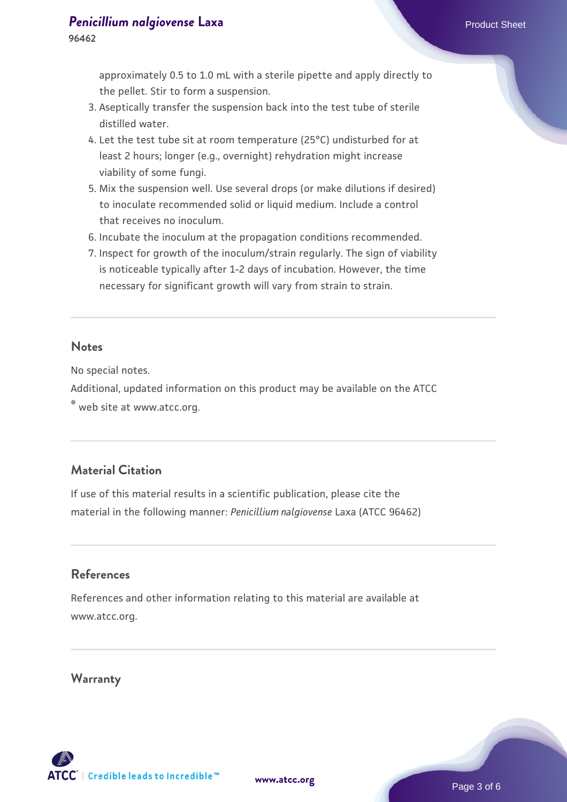**96462**

approximately 0.5 to 1.0 mL with a sterile pipette and apply directly to the pellet. Stir to form a suspension.

- 3. Aseptically transfer the suspension back into the test tube of sterile distilled water.
- 4. Let the test tube sit at room temperature (25°C) undisturbed for at least 2 hours; longer (e.g., overnight) rehydration might increase viability of some fungi.
- Mix the suspension well. Use several drops (or make dilutions if desired) 5. to inoculate recommended solid or liquid medium. Include a control that receives no inoculum.
- 6. Incubate the inoculum at the propagation conditions recommended.
- 7. Inspect for growth of the inoculum/strain regularly. The sign of viability is noticeable typically after 1-2 days of incubation. However, the time necessary for significant growth will vary from strain to strain.

#### **Notes**

No special notes.

Additional, updated information on this product may be available on the ATCC

® web site at www.atcc.org.

#### **Material Citation**

If use of this material results in a scientific publication, please cite the material in the following manner: *Penicillium nalgiovense* Laxa (ATCC 96462)

#### **References**

References and other information relating to this material are available at www.atcc.org.

#### **Warranty**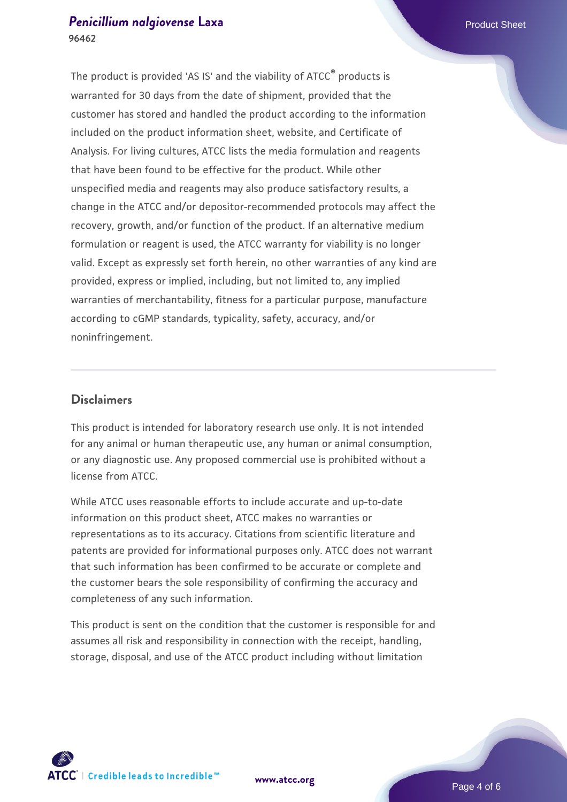#### **[Penicillium nalgiovense](https://www.atcc.org/products/96462)** [Laxa](https://www.atcc.org/products/96462) **Product Sheet 96462**

The product is provided 'AS IS' and the viability of ATCC® products is warranted for 30 days from the date of shipment, provided that the customer has stored and handled the product according to the information included on the product information sheet, website, and Certificate of Analysis. For living cultures, ATCC lists the media formulation and reagents that have been found to be effective for the product. While other unspecified media and reagents may also produce satisfactory results, a change in the ATCC and/or depositor-recommended protocols may affect the recovery, growth, and/or function of the product. If an alternative medium formulation or reagent is used, the ATCC warranty for viability is no longer valid. Except as expressly set forth herein, no other warranties of any kind are provided, express or implied, including, but not limited to, any implied warranties of merchantability, fitness for a particular purpose, manufacture according to cGMP standards, typicality, safety, accuracy, and/or noninfringement.

#### **Disclaimers**

This product is intended for laboratory research use only. It is not intended for any animal or human therapeutic use, any human or animal consumption, or any diagnostic use. Any proposed commercial use is prohibited without a license from ATCC.

While ATCC uses reasonable efforts to include accurate and up-to-date information on this product sheet, ATCC makes no warranties or representations as to its accuracy. Citations from scientific literature and patents are provided for informational purposes only. ATCC does not warrant that such information has been confirmed to be accurate or complete and the customer bears the sole responsibility of confirming the accuracy and completeness of any such information.

This product is sent on the condition that the customer is responsible for and assumes all risk and responsibility in connection with the receipt, handling, storage, disposal, and use of the ATCC product including without limitation



**[www.atcc.org](http://www.atcc.org)**

Page 4 of 6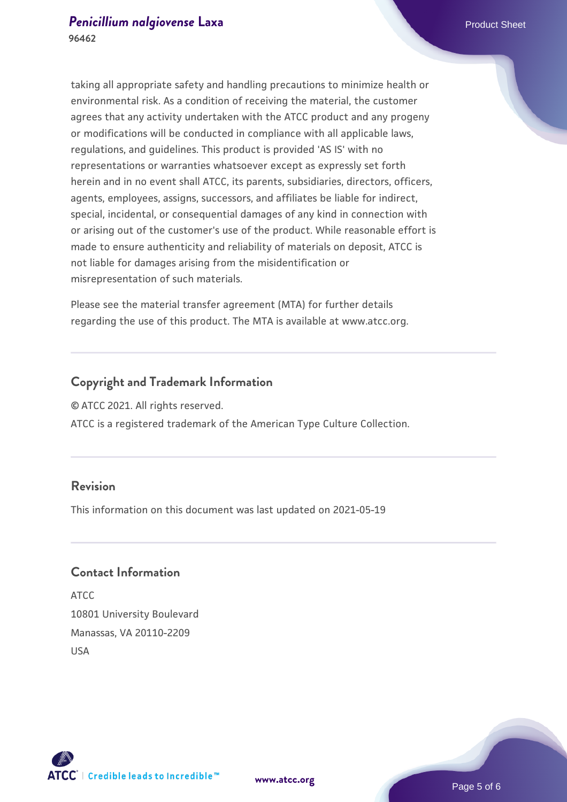taking all appropriate safety and handling precautions to minimize health or environmental risk. As a condition of receiving the material, the customer agrees that any activity undertaken with the ATCC product and any progeny or modifications will be conducted in compliance with all applicable laws, regulations, and guidelines. This product is provided 'AS IS' with no representations or warranties whatsoever except as expressly set forth herein and in no event shall ATCC, its parents, subsidiaries, directors, officers, agents, employees, assigns, successors, and affiliates be liable for indirect, special, incidental, or consequential damages of any kind in connection with or arising out of the customer's use of the product. While reasonable effort is made to ensure authenticity and reliability of materials on deposit, ATCC is not liable for damages arising from the misidentification or misrepresentation of such materials.

Please see the material transfer agreement (MTA) for further details regarding the use of this product. The MTA is available at www.atcc.org.

#### **Copyright and Trademark Information**

© ATCC 2021. All rights reserved.

ATCC is a registered trademark of the American Type Culture Collection.

#### **Revision**

This information on this document was last updated on 2021-05-19

#### **Contact Information**

ATCC 10801 University Boulevard Manassas, VA 20110-2209 USA